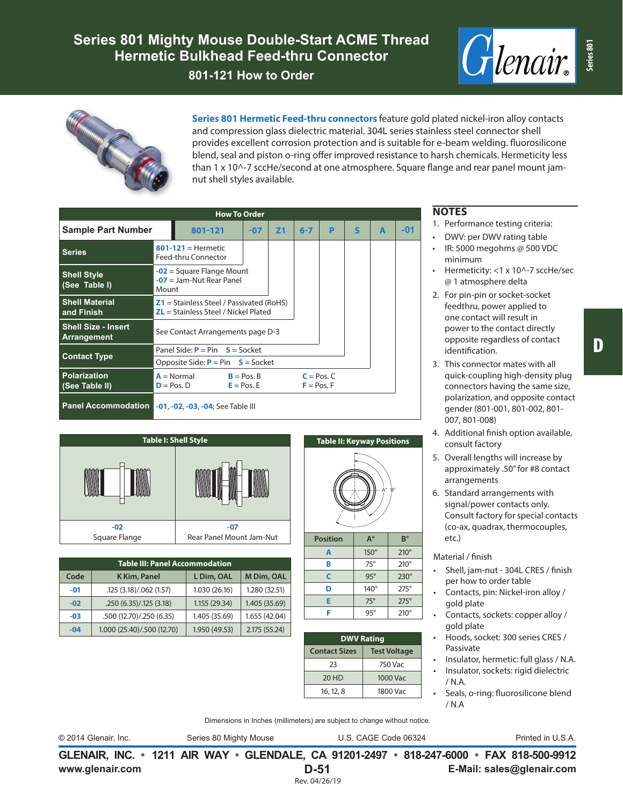



**Series 801 Hermetic Feed-thru connectors** feature gold plated nickel-iron alloy contacts and compression glass dielectric material. 304L series stainless steel connector shell provides excellent corrosion protection and is suitable for e-beam welding. fluorosilicone blend, seal and piston o-ring offer improved resistance to harsh chemicals. Hermeticity less than 1 x 10^-7 sccHe/second at one atmosphere. Square flange and rear panel mount jamnut shell styles available.

|                                                       | <b>How To Order</b>                                                                  |                                                            |                |         |   |              |   |     |
|-------------------------------------------------------|--------------------------------------------------------------------------------------|------------------------------------------------------------|----------------|---------|---|--------------|---|-----|
| <b>Sample Part Number</b>                             | 801-121                                                                              | $-07$                                                      | Z <sub>1</sub> | $6 - 7$ | P | $\mathsf{s}$ | A | -01 |
| <b>Series</b>                                         | $801-121$ = Hermetic<br>Feed-thru Connector                                          |                                                            |                |         |   |              |   |     |
| <b>Shell Style</b><br>(See Table I)                   | $-07$ = Jam-Nut Rear Panel<br>Mount                                                  | $-02$ = Square Flange Mount                                |                |         |   |              |   |     |
| <b>Shell Material</b><br>and Finish                   | $Z1$ = Stainless Steel / Passivated (RoHS)<br>$ZL =$ Stainless Steel / Nickel Plated |                                                            |                |         |   |              |   |     |
| <b>Shell Size - Insert</b><br>Arrangement             | See Contact Arrangements page D-3                                                    |                                                            |                |         |   |              |   |     |
|                                                       | Panel Side: $P = Pin$ $S = Sockets$                                                  |                                                            |                |         |   |              |   |     |
| <b>Contact Type</b>                                   | Opposite Side: $P = Pin$ $S = S$ ocket                                               |                                                            |                |         |   |              |   |     |
| <b>Polarization</b><br>(See Table II)                 | $A = Normal$<br>$D = Pos. D$                                                         | $B = Pos. B$<br>$C = Pos.C$<br>$E = Pos. E$<br>$F = Pos.F$ |                |         |   |              |   |     |
| Panel Accommodation -01, -02, -03, -04; See Table III |                                                                                      |                                                            |                |         |   |              |   |     |

| <b>Table I: Shell Style</b> |                          |  |  |  |  |  |  |  |
|-----------------------------|--------------------------|--|--|--|--|--|--|--|
|                             | <b>A</b>                 |  |  |  |  |  |  |  |
| $-02$                       | -07                      |  |  |  |  |  |  |  |
| Square Flange               | Rear Panel Mount Jam-Nut |  |  |  |  |  |  |  |

| <b>Table III: Panel Accommodation</b> |                            |               |               |  |  |  |  |  |  |
|---------------------------------------|----------------------------|---------------|---------------|--|--|--|--|--|--|
| Code                                  | K Kim, Panel               | L Dim, OAL    | M Dim, OAL    |  |  |  |  |  |  |
| $-01$                                 | .125 (3.18)/.062 (1.57)    | 1.030 (26.16) | 1.280 (32.51) |  |  |  |  |  |  |
| $-02$                                 | .250(6.35)/.125(3.18)      | 1.155 (29.34) | 1.405 (35.69) |  |  |  |  |  |  |
| -03                                   | .500 (12.70)/.250 (6.35)   | 1.405 (35.69) | 1.655 (42.04) |  |  |  |  |  |  |
| $-04$                                 | 1.000 (25.40)/.500 (12.70) | 1.950 (49.53) | 2.175 (55.24) |  |  |  |  |  |  |

## **Table II: Keyway Positions**



| A | $150^\circ$ | $210^\circ$ |
|---|-------------|-------------|
| в | $75^\circ$  | $210^\circ$ |
| C | $95^\circ$  | $230^\circ$ |
| D | $140^\circ$ | $275^\circ$ |
| Е | $75^\circ$  | $275^\circ$ |
| F | $95^\circ$  | $210^\circ$ |

| <b>DWV Rating</b>   |  |  |  |  |  |  |
|---------------------|--|--|--|--|--|--|
| <b>Test Voltage</b> |  |  |  |  |  |  |
| 750 Vac             |  |  |  |  |  |  |
| 1000 Vac            |  |  |  |  |  |  |
| 1800 Vac            |  |  |  |  |  |  |
|                     |  |  |  |  |  |  |

## **NOTES**

- 1. Performance testing criteria:
- DWV: per DWV rating table
- IR: 5000 megohms @ 500 VDC minimum
- Hermeticity: <1 x 10^-7 sccHe/sec @ 1 atmosphere delta
- 2. For pin-pin or socket-socket feedthru, power applied to one contact will result in power to the contact directly opposite regardless of contact identification.
- 3. This connector mates with all quick-coupling high-density plug connectors having the same size, polarization, and opposite contact gender (801-001, 801-002, 801- 007, 801-008)
- 4. Additional finish option available, consult factory
- 5. Overall lengths will increase by approximately .50" for #8 contact arrangements
- 6. Standard arrangements with signal/power contacts only. Consult factory for special contacts (co-ax, quadrax, thermocouples, etc.)

## Material / finish

- Shell, jam-nut 304L CRES / finish per how to order table
- Contacts, pin: Nickel-iron alloy / gold plate
- Contacts, sockets: copper alloy / gold plate
- Hoods, socket: 300 series CRES / Passivate
- Insulator, hermetic: full glass / N.A.
- Insulator, sockets: rigid dielectric / N.A.
- Seals, o-ring: fluorosilicone blend / N.A

Dimensions in Inches (millimeters) are subject to change without notice.

© 2014 Glenair, Inc. Series 80 Mighty Mouse U.S. CAGE Code 06324 Printed in U.S.A.

**www.glenair.com E-Mail: sales@glenair.com GLENAIR, INC. • 1211 AIR WAY • GLENDALE, CA 91201-2497 • 818-247-6000 • FAX 818-500-9912 D-51** Rev. 04/26/19